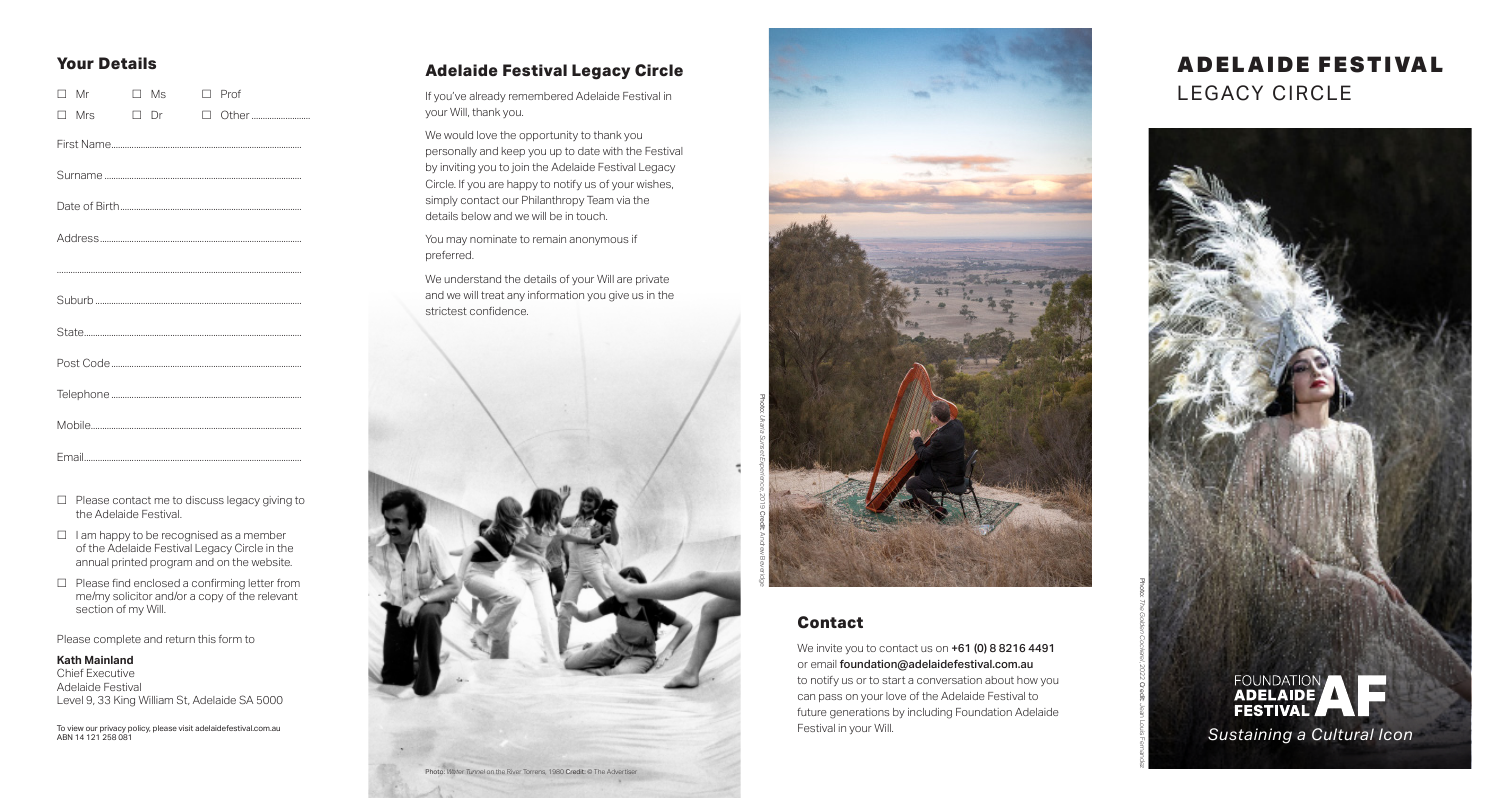## **Your Details**

|  | $\Box$ Mr  |  | $\Box$ Ms |  | $\Box$ Prof |
|--|------------|--|-----------|--|-------------|
|  | $\Box$ Mrs |  | $\Box$ Dr |  |             |
|  |            |  |           |  |             |
|  |            |  |           |  |             |
|  |            |  |           |  |             |
|  |            |  |           |  |             |
|  |            |  |           |  |             |
|  |            |  |           |  |             |
|  |            |  |           |  |             |
|  |            |  |           |  |             |
|  |            |  |           |  |             |
|  |            |  |           |  |             |
|  |            |  |           |  |             |

- $\Box$  Please contact me to discuss legacy giving to the Adelaide Festival.
- $\Box$  I am happy to be recognised as a member of the Adelaide Festival Legacy Circle in the annual printed program and on the website.
- $\Box$  Please find enclosed a confirming letter from me/my solicitor and/or a copy of the relevant section of my Will.

Please complete and return this form to

#### **Kath Mainland**

Chief Executive Adelaide Festival Level 9, 33 King William St, Adelaide SA 5000

To view our privacy policy, please visit adelaidefestival.com.au

### **Adelaide Festival Legacy Circle**

If you've already remembered Adelaide Festival in your Will, thank you.

We would love the opportunity to thank you personally and keep you up to date with the Festival by inviting you to join the Adelaide Festival Legacy Circle. If you are happy to notify us of your wishes, simply contact our Philanthropy Team via the details below and we will be in touch.

You may nominate to remain anonymous if preferred.

We understand the details of your Will are private and we will treat any information you give us in the strictest confidence.





### **Contact**

We invite you to contact us on  $+61$  (0) 8 8216 4491 or email foundation@adelaidefestival.com.au to notify us or to start a conversation about how you can pass on your love of the Adelaide Festival to future generations by including Foundation Adelaide Festival in your Will.

# A DEL AI DE FESTIVAL LEGACY CIRCLE